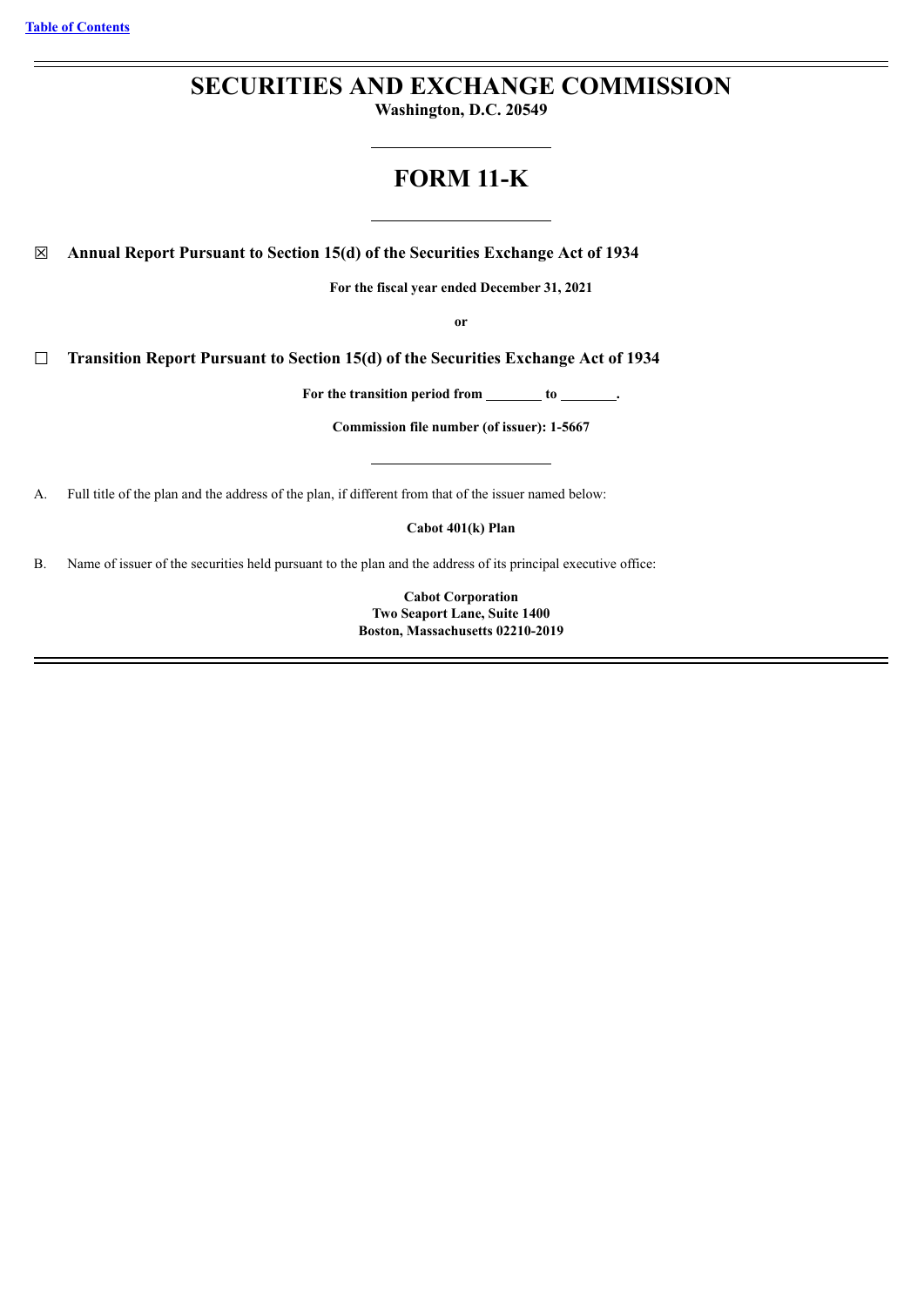# **SECURITIES AND EXCHANGE COMMISSION**

**Washington, D.C. 20549**

## **FORM 11-K**

☒ **Annual Report Pursuant to Section 15(d) of the Securities Exchange Act of 1934**

**For the fiscal year ended December 31, 2021**

**or**

☐ **Transition Report Pursuant to Section 15(d) of the Securities Exchange Act of 1934**

For the transition period from **to the to ...** 

**Commission file number (of issuer): 1-5667**

A. Full title of the plan and the address of the plan, if different from that of the issuer named below:

**Cabot 401(k) Plan**

B. Name of issuer of the securities held pursuant to the plan and the address of its principal executive office:

**Cabot Corporation Two Seaport Lane, Suite 1400 Boston, Massachusetts 02210-2019**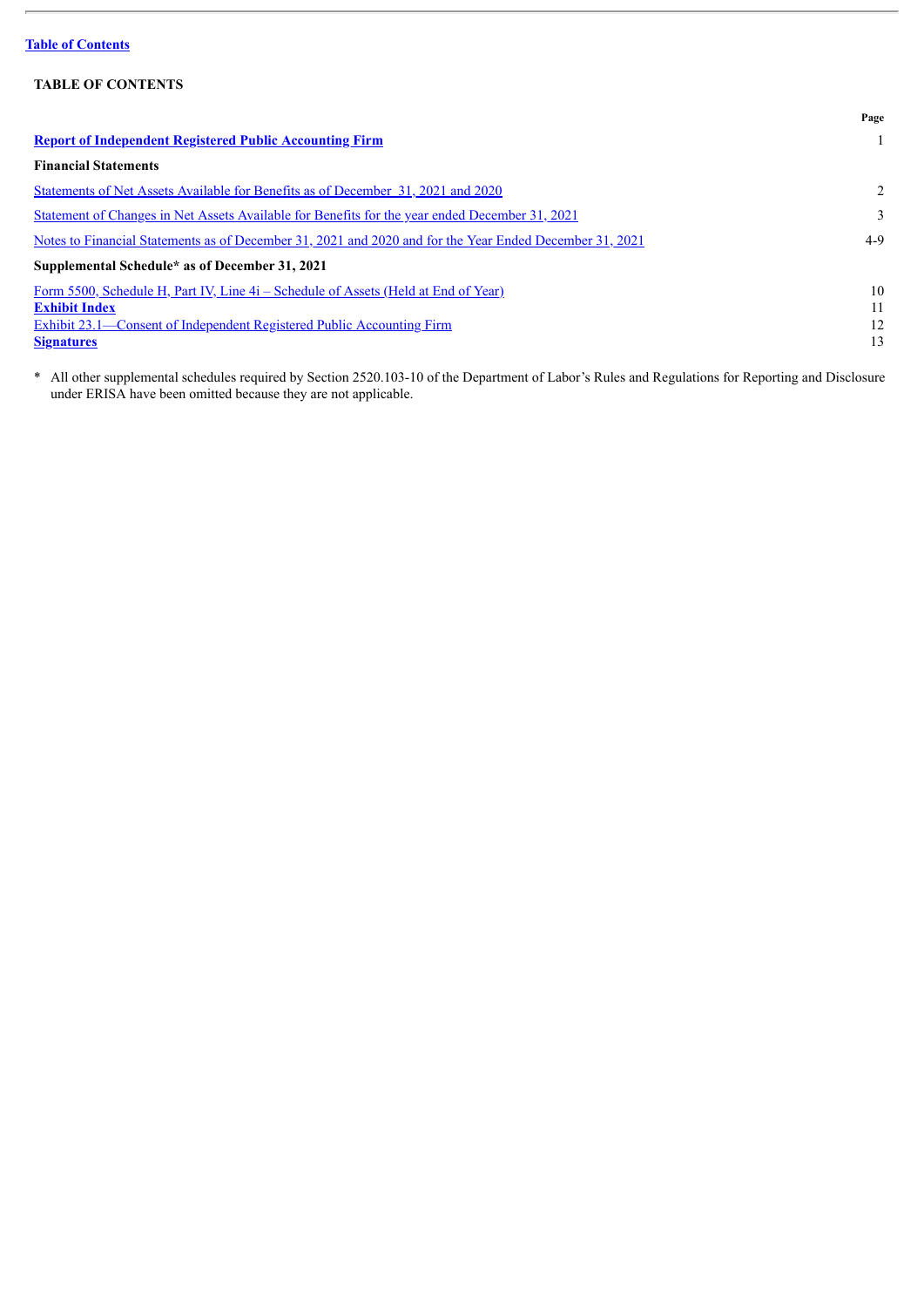## <span id="page-1-0"></span>**TABLE OF CONTENTS**

|                                                                                                         | Page        |
|---------------------------------------------------------------------------------------------------------|-------------|
| <b>Report of Independent Registered Public Accounting Firm</b>                                          |             |
| <b>Financial Statements</b>                                                                             |             |
| Statements of Net Assets Available for Benefits as of December 31, 2021 and 2020                        | $2^{\circ}$ |
| Statement of Changes in Net Assets Available for Benefits for the year ended December 31, 2021          | 3           |
| Notes to Financial Statements as of December 31, 2021 and 2020 and for the Year Ended December 31, 2021 | $4 - 9$     |
| Supplemental Schedule* as of December 31, 2021                                                          |             |
| Form 5500, Schedule H, Part IV, Line 4i – Schedule of Assets (Held at End of Year)                      | 10          |
| <b>Exhibit Index</b><br><b>Exhibit 23.1—Consent of Independent Registered Public Accounting Firm</b>    | 11<br>12    |
| <b>Signatures</b>                                                                                       | 13          |

\* All other supplemental schedules required by Section 2520.103-10 of the Department of Labor's Rules and Regulations for Reporting and Disclosure under ERISA have been omitted because they are not applicable.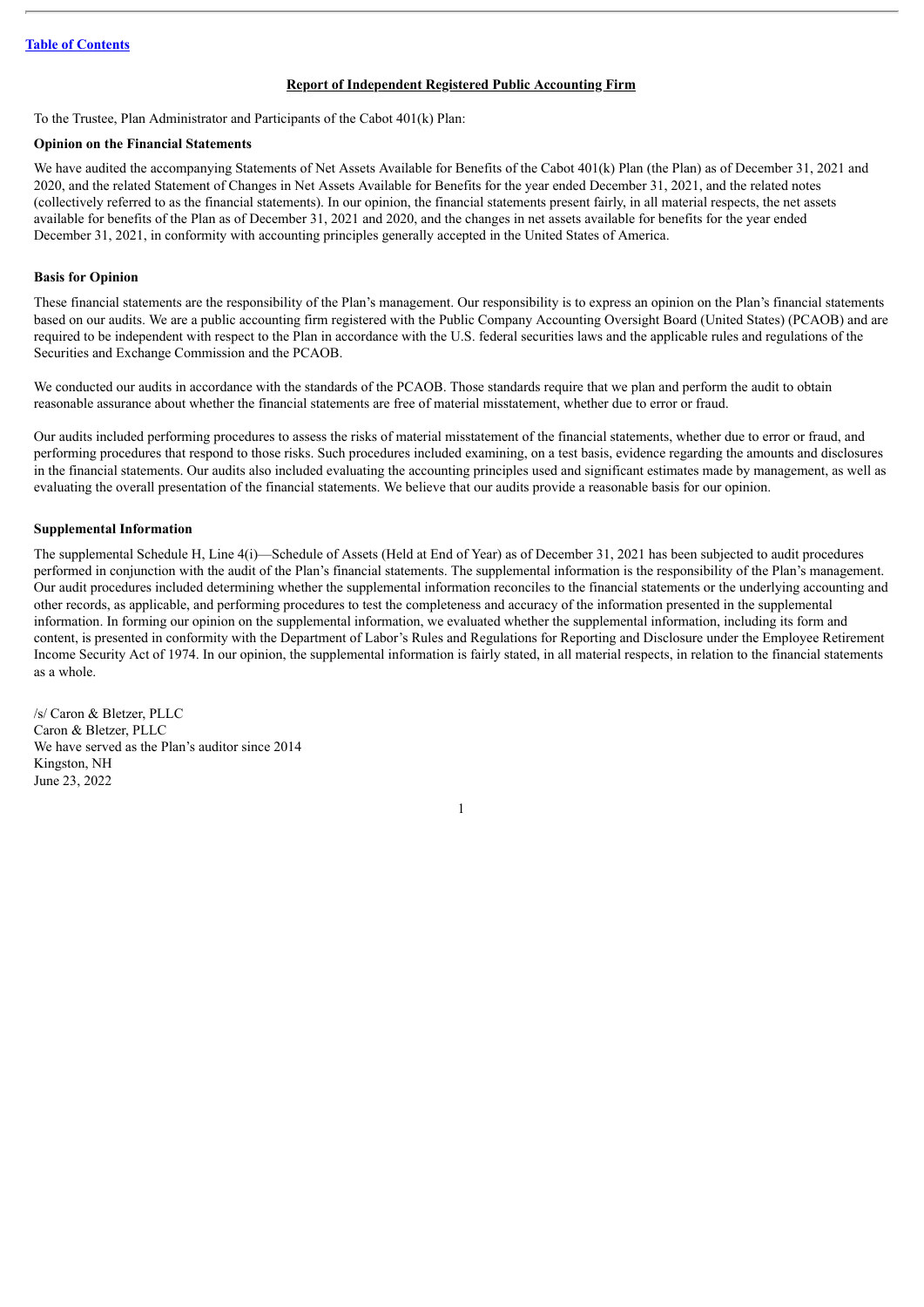#### **Report of Independent Registered Public Accounting Firm**

<span id="page-2-0"></span>To the Trustee, Plan Administrator and Participants of the Cabot 401(k) Plan:

#### **Opinion on the Financial Statements**

We have audited the accompanying Statements of Net Assets Available for Benefits of the Cabot 401(k) Plan (the Plan) as of December 31, 2021 and 2020, and the related Statement of Changes in Net Assets Available for Benefits for the year ended December 31, 2021, and the related notes (collectively referred to as the financial statements). In our opinion, the financial statements present fairly, in all material respects, the net assets available for benefits of the Plan as of December 31, 2021 and 2020, and the changes in net assets available for benefits for the year ended December 31, 2021, in conformity with accounting principles generally accepted in the United States of America.

#### **Basis for Opinion**

These financial statements are the responsibility of the Plan's management. Our responsibility is to express an opinion on the Plan's financial statements based on our audits. We are a public accounting firm registered with the Public Company Accounting Oversight Board (United States) (PCAOB) and are required to be independent with respect to the Plan in accordance with the U.S. federal securities laws and the applicable rules and regulations of the Securities and Exchange Commission and the PCAOB.

We conducted our audits in accordance with the standards of the PCAOB. Those standards require that we plan and perform the audit to obtain reasonable assurance about whether the financial statements are free of material misstatement, whether due to error or fraud.

Our audits included performing procedures to assess the risks of material misstatement of the financial statements, whether due to error or fraud, and performing procedures that respond to those risks. Such procedures included examining, on a test basis, evidence regarding the amounts and disclosures in the financial statements. Our audits also included evaluating the accounting principles used and significant estimates made by management, as well as evaluating the overall presentation of the financial statements. We believe that our audits provide a reasonable basis for our opinion.

#### **Supplemental Information**

The supplemental Schedule H, Line 4(i)—Schedule of Assets (Held at End of Year) as of December 31, 2021 has been subjected to audit procedures performed in conjunction with the audit of the Plan's financial statements. The supplemental information is the responsibility of the Plan's management. Our audit procedures included determining whether the supplemental information reconciles to the financial statements or the underlying accounting and other records, as applicable, and performing procedures to test the completeness and accuracy of the information presented in the supplemental information. In forming our opinion on the supplemental information, we evaluated whether the supplemental information, including its form and content, is presented in conformity with the Department of Labor's Rules and Regulations for Reporting and Disclosure under the Employee Retirement Income Security Act of 1974. In our opinion, the supplemental information is fairly stated, in all material respects, in relation to the financial statements as a whole.

1

/s/ Caron & Bletzer, PLLC Caron & Bletzer, PLLC We have served as the Plan's auditor since 2014 Kingston, NH June 23, 2022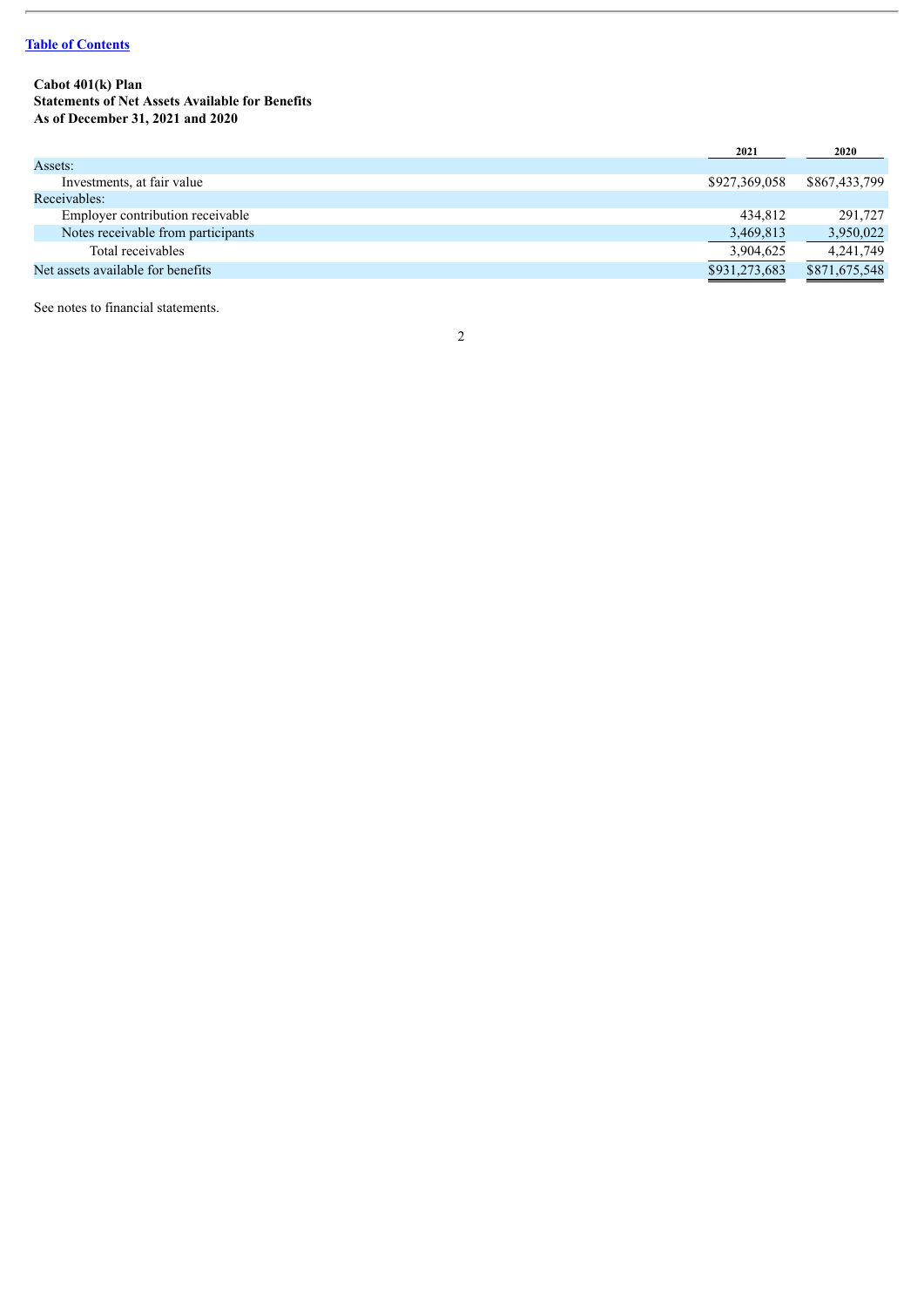#### **Cabot 401(k) Plan**

<span id="page-3-0"></span>**Statements of Net Assets Available for Benefits** As of December 31, 2021 and 2020

| Assets:                                            |               |
|----------------------------------------------------|---------------|
|                                                    |               |
| Investments, at fair value<br>\$927,369,058        | \$867,433,799 |
| Receivables:                                       |               |
| Employer contribution receivable<br>434,812        | 291.727       |
| Notes receivable from participants<br>3,469,813    | 3,950,022     |
| Total receivables<br>3,904,625                     | 4, 241, 749   |
| Net assets available for benefits<br>\$931,273,683 | \$871,675,548 |

See notes to financial statements.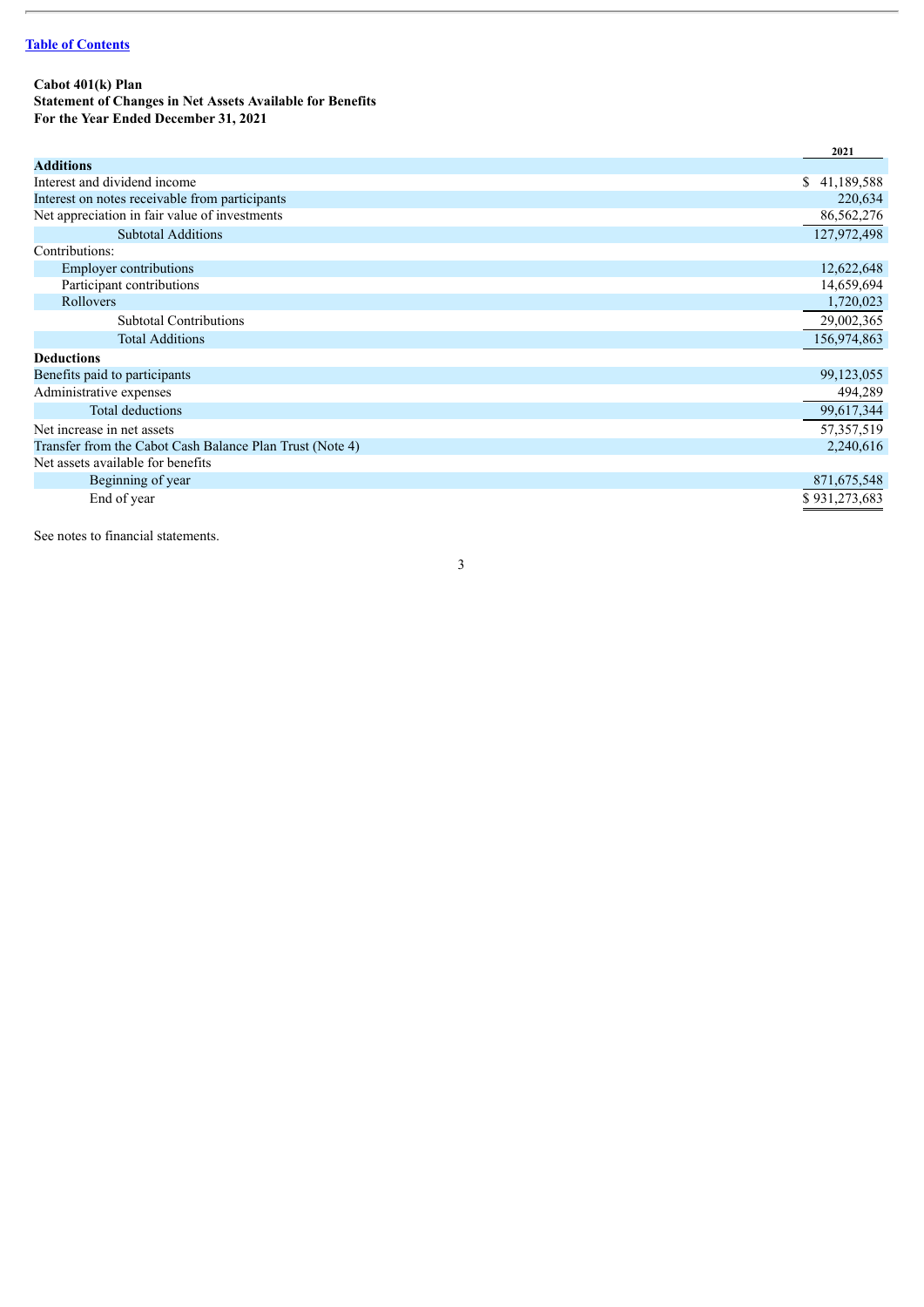#### **Cabot 401(k) Plan**

<span id="page-4-0"></span>**Statement of Changes in Net Assets Available for Benefits** For the Year Ended December 31, 2021

|                                                          | 2021          |
|----------------------------------------------------------|---------------|
| <b>Additions</b>                                         |               |
| Interest and dividend income                             | \$41,189,588  |
| Interest on notes receivable from participants           | 220,634       |
| Net appreciation in fair value of investments            | 86,562,276    |
| <b>Subtotal Additions</b>                                | 127,972,498   |
| Contributions:                                           |               |
| <b>Employer contributions</b>                            | 12,622,648    |
| Participant contributions                                | 14,659,694    |
| Rollovers                                                | 1,720,023     |
| <b>Subtotal Contributions</b>                            | 29,002,365    |
| <b>Total Additions</b>                                   | 156,974,863   |
| <b>Deductions</b>                                        |               |
| Benefits paid to participants                            | 99,123,055    |
| Administrative expenses                                  | 494,289       |
| <b>Total deductions</b>                                  | 99,617,344    |
| Net increase in net assets                               | 57,357,519    |
| Transfer from the Cabot Cash Balance Plan Trust (Note 4) | 2,240,616     |
| Net assets available for benefits                        |               |
| Beginning of year                                        | 871, 675, 548 |
| End of year                                              | \$931,273,683 |

See notes to financial statements.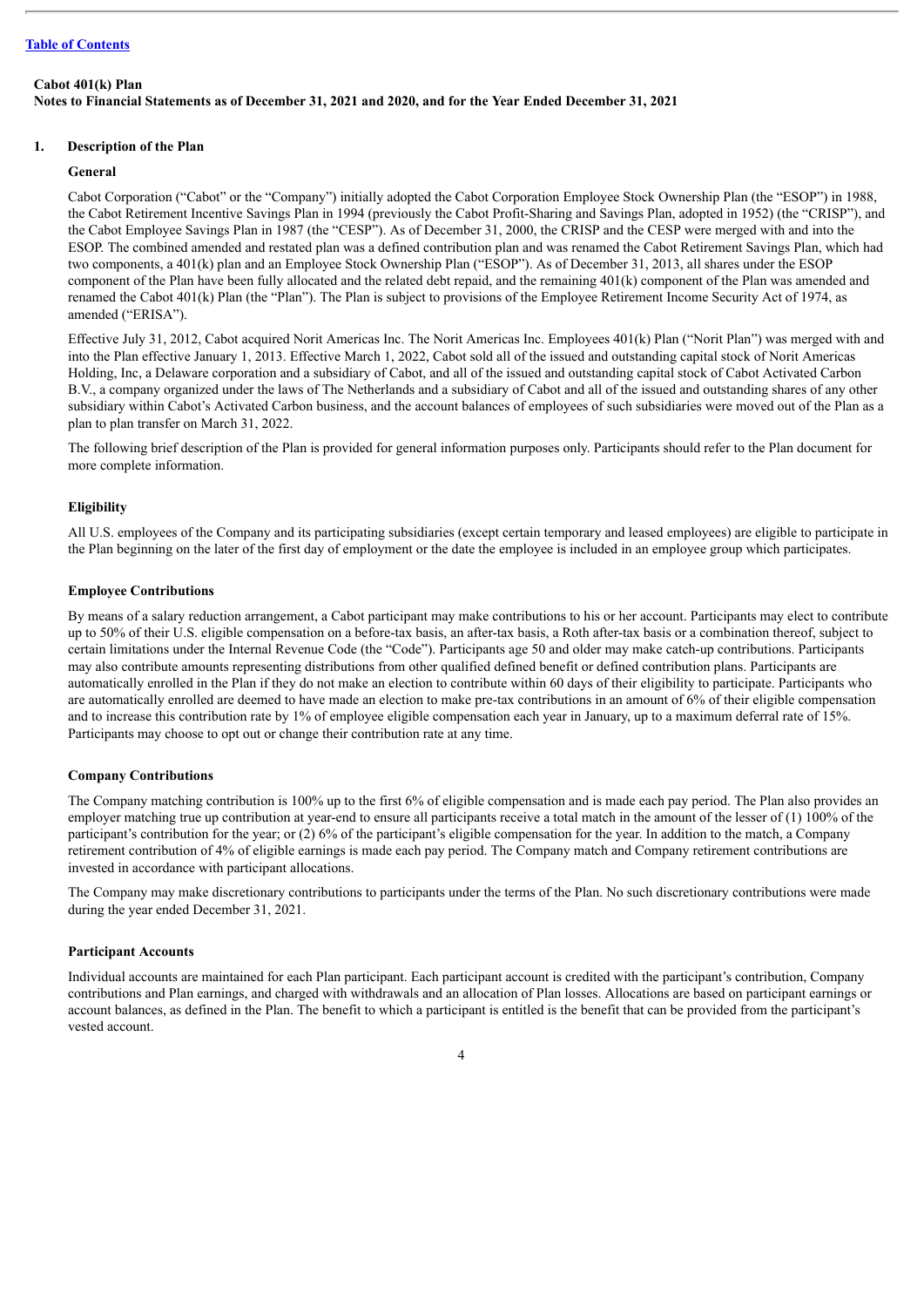### <span id="page-5-0"></span>**Cabot 401(k) Plan** Notes to Financial Statements as of December 31, 2021 and 2020, and for the Year Ended December 31, 2021

#### **1. Description of the Plan**

#### **General**

Cabot Corporation ("Cabot" or the "Company") initially adopted the Cabot Corporation Employee Stock Ownership Plan (the "ESOP") in 1988, the Cabot Retirement Incentive Savings Plan in 1994 (previously the Cabot Profit-Sharing and Savings Plan, adopted in 1952) (the "CRISP"), and the Cabot Employee Savings Plan in 1987 (the "CESP"). As of December 31, 2000, the CRISP and the CESP were merged with and into the ESOP. The combined amended and restated plan was a defined contribution plan and was renamed the Cabot Retirement Savings Plan, which had two components, a 401(k) plan and an Employee Stock Ownership Plan ("ESOP"). As of December 31, 2013, all shares under the ESOP component of the Plan have been fully allocated and the related debt repaid, and the remaining 401(k) component of the Plan was amended and renamed the Cabot 401(k) Plan (the "Plan"). The Plan is subject to provisions of the Employee Retirement Income Security Act of 1974, as amended ("ERISA").

Effective July 31, 2012, Cabot acquired Norit Americas Inc. The Norit Americas Inc. Employees 401(k) Plan ("Norit Plan") was merged with and into the Plan effective January 1, 2013. Effective March 1, 2022, Cabot sold all of the issued and outstanding capital stock of Norit Americas Holding, Inc, a Delaware corporation and a subsidiary of Cabot, and all of the issued and outstanding capital stock of Cabot Activated Carbon B.V., a company organized under the laws of The Netherlands and a subsidiary of Cabot and all of the issued and outstanding shares of any other subsidiary within Cabot's Activated Carbon business, and the account balances of employees of such subsidiaries were moved out of the Plan as a plan to plan transfer on March 31, 2022.

The following brief description of the Plan is provided for general information purposes only. Participants should refer to the Plan document for more complete information.

#### **Eligibility**

All U.S. employees of the Company and its participating subsidiaries (except certain temporary and leased employees) are eligible to participate in the Plan beginning on the later of the first day of employment or the date the employee is included in an employee group which participates.

#### **Employee Contributions**

By means of a salary reduction arrangement, a Cabot participant may make contributions to his or her account. Participants may elect to contribute up to 50% of their U.S. eligible compensation on a before-tax basis, an after-tax basis, a Roth after-tax basis or a combination thereof, subject to certain limitations under the Internal Revenue Code (the "Code"). Participants age 50 and older may make catch-up contributions. Participants may also contribute amounts representing distributions from other qualified defined benefit or defined contribution plans. Participants are automatically enrolled in the Plan if they do not make an election to contribute within 60 days of their eligibility to participate. Participants who are automatically enrolled are deemed to have made an election to make pre-tax contributions in an amount of 6% of their eligible compensation and to increase this contribution rate by 1% of employee eligible compensation each year in January, up to a maximum deferral rate of 15%. Participants may choose to opt out or change their contribution rate at any time.

#### **Company Contributions**

The Company matching contribution is 100% up to the first 6% of eligible compensation and is made each pay period. The Plan also provides an employer matching true up contribution at year-end to ensure all participants receive a total match in the amount of the lesser of (1) 100% of the participant's contribution for the year; or (2) 6% of the participant's eligible compensation for the year. In addition to the match, a Company retirement contribution of 4% of eligible earnings is made each pay period. The Company match and Company retirement contributions are invested in accordance with participant allocations.

The Company may make discretionary contributions to participants under the terms of the Plan. No such discretionary contributions were made during the year ended December 31, 2021.

#### **Participant Accounts**

Individual accounts are maintained for each Plan participant. Each participant account is credited with the participant's contribution, Company contributions and Plan earnings, and charged with withdrawals and an allocation of Plan losses. Allocations are based on participant earnings or account balances, as defined in the Plan. The benefit to which a participant is entitled is the benefit that can be provided from the participant's vested account.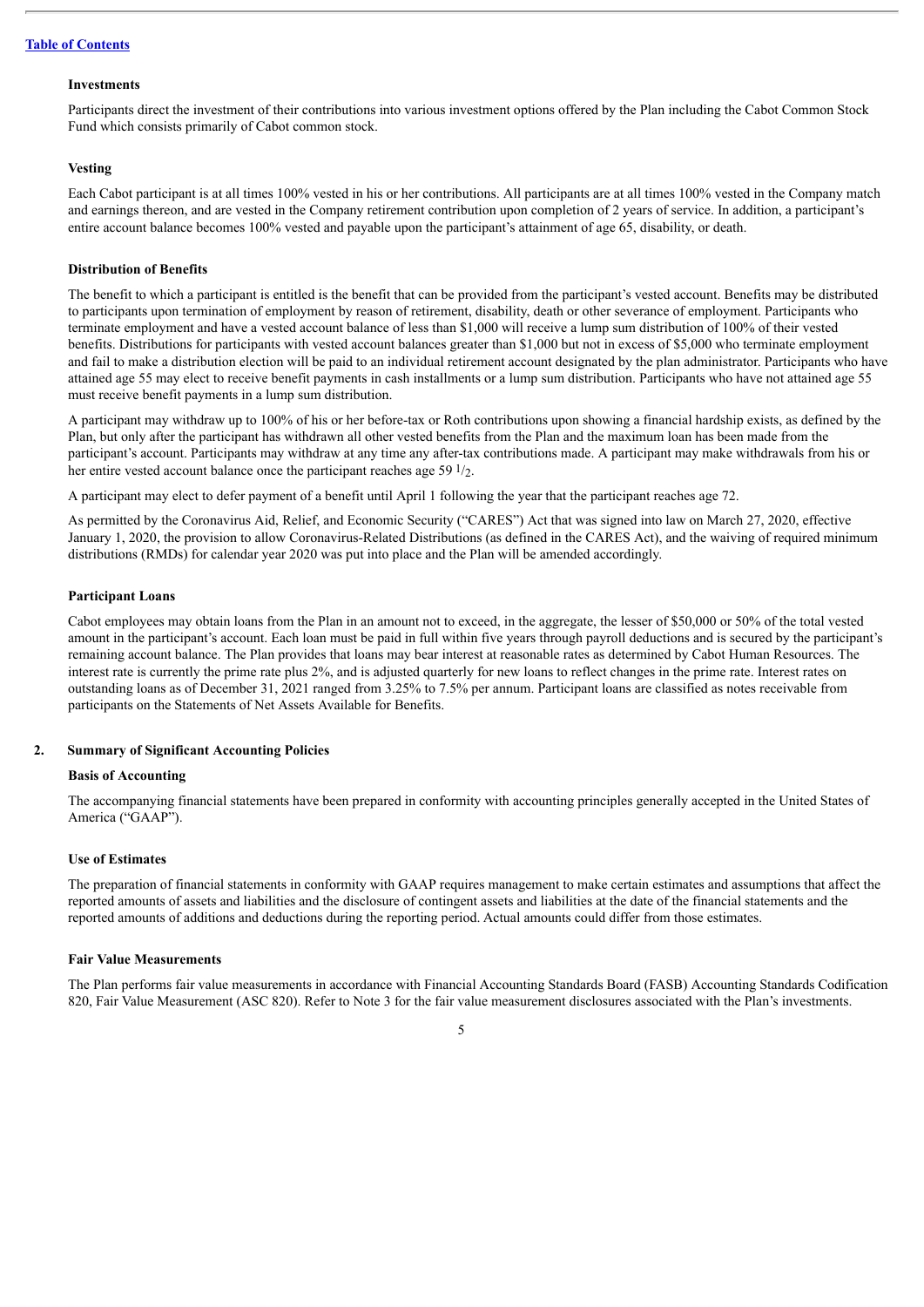#### **Investments**

Participants direct the investment of their contributions into various investment options offered by the Plan including the Cabot Common Stock Fund which consists primarily of Cabot common stock.

#### **Vesting**

Each Cabot participant is at all times 100% vested in his or her contributions. All participants are at all times 100% vested in the Company match and earnings thereon, and are vested in the Company retirement contribution upon completion of 2 years of service. In addition, a participant's entire account balance becomes 100% vested and payable upon the participant's attainment of age 65, disability, or death.

#### **Distribution of Benefits**

The benefit to which a participant is entitled is the benefit that can be provided from the participant's vested account. Benefits may be distributed to participants upon termination of employment by reason of retirement, disability, death or other severance of employment. Participants who terminate employment and have a vested account balance of less than \$1,000 will receive a lump sum distribution of 100% of their vested benefits. Distributions for participants with vested account balances greater than \$1,000 but not in excess of \$5,000 who terminate employment and fail to make a distribution election will be paid to an individual retirement account designated by the plan administrator. Participants who have attained age 55 may elect to receive benefit payments in cash installments or a lump sum distribution. Participants who have not attained age 55 must receive benefit payments in a lump sum distribution.

A participant may withdraw up to 100% of his or her before-tax or Roth contributions upon showing a financial hardship exists, as defined by the Plan, but only after the participant has withdrawn all other vested benefits from the Plan and the maximum loan has been made from the participant's account. Participants may withdraw at any time any after-tax contributions made. A participant may make withdrawals from his or her entire vested account balance once the participant reaches age 59  $1/2$ .

A participant may elect to defer payment of a benefit until April 1 following the year that the participant reaches age 72.

As permitted by the Coronavirus Aid, Relief, and Economic Security ("CARES") Act that was signed into law on March 27, 2020, effective January 1, 2020, the provision to allow Coronavirus-Related Distributions (as defined in the CARES Act), and the waiving of required minimum distributions (RMDs) for calendar year 2020 was put into place and the Plan will be amended accordingly.

#### **Participant Loans**

Cabot employees may obtain loans from the Plan in an amount not to exceed, in the aggregate, the lesser of \$50,000 or 50% of the total vested amount in the participant's account. Each loan must be paid in full within five years through payroll deductions and is secured by the participant's remaining account balance. The Plan provides that loans may bear interest at reasonable rates as determined by Cabot Human Resources. The interest rate is currently the prime rate plus 2%, and is adjusted quarterly for new loans to reflect changes in the prime rate. Interest rates on outstanding loans as of December 31, 2021 ranged from 3.25% to 7.5% per annum. Participant loans are classified as notes receivable from participants on the Statements of Net Assets Available for Benefits.

#### **2. Summary of Significant Accounting Policies**

#### **Basis of Accounting**

The accompanying financial statements have been prepared in conformity with accounting principles generally accepted in the United States of America ("GAAP").

#### **Use of Estimates**

The preparation of financial statements in conformity with GAAP requires management to make certain estimates and assumptions that affect the reported amounts of assets and liabilities and the disclosure of contingent assets and liabilities at the date of the financial statements and the reported amounts of additions and deductions during the reporting period. Actual amounts could differ from those estimates.

#### **Fair Value Measurements**

The Plan performs fair value measurements in accordance with Financial Accounting Standards Board (FASB) Accounting Standards Codification 820, Fair Value Measurement (ASC 820). Refer to Note 3 for the fair value measurement disclosures associated with the Plan's investments.

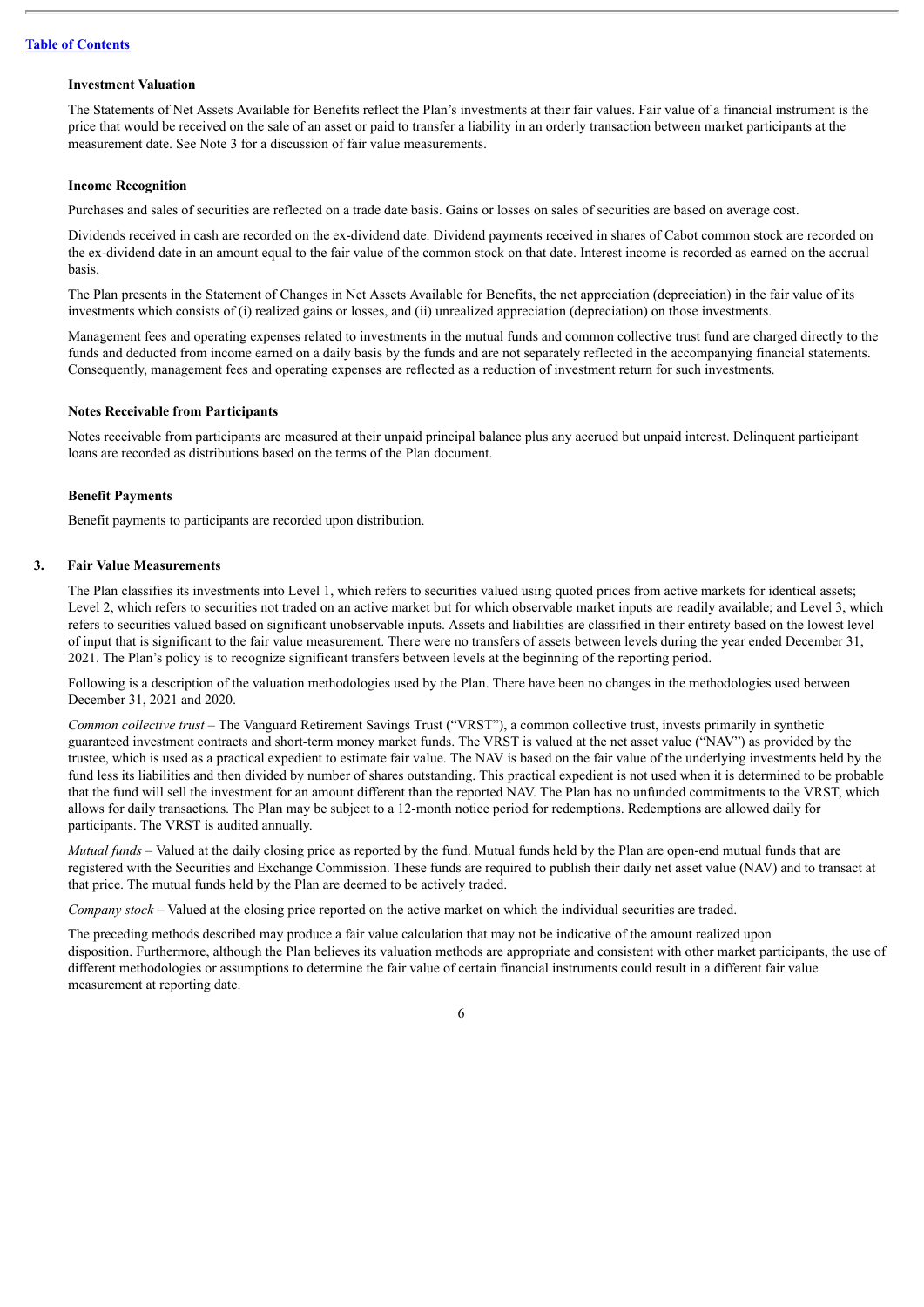#### **Investment Valuation**

The Statements of Net Assets Available for Benefits reflect the Plan's investments at their fair values. Fair value of a financial instrument is the price that would be received on the sale of an asset or paid to transfer a liability in an orderly transaction between market participants at the measurement date. See Note 3 for a discussion of fair value measurements.

#### **Income Recognition**

Purchases and sales of securities are reflected on a trade date basis. Gains or losses on sales of securities are based on average cost.

Dividends received in cash are recorded on the ex-dividend date. Dividend payments received in shares of Cabot common stock are recorded on the ex-dividend date in an amount equal to the fair value of the common stock on that date. Interest income is recorded as earned on the accrual basis.

The Plan presents in the Statement of Changes in Net Assets Available for Benefits, the net appreciation (depreciation) in the fair value of its investments which consists of (i) realized gains or losses, and (ii) unrealized appreciation (depreciation) on those investments.

Management fees and operating expenses related to investments in the mutual funds and common collective trust fund are charged directly to the funds and deducted from income earned on a daily basis by the funds and are not separately reflected in the accompanying financial statements. Consequently, management fees and operating expenses are reflected as a reduction of investment return for such investments.

#### **Notes Receivable from Participants**

Notes receivable from participants are measured at their unpaid principal balance plus any accrued but unpaid interest. Delinquent participant loans are recorded as distributions based on the terms of the Plan document.

#### **Benefit Payments**

Benefit payments to participants are recorded upon distribution.

#### **3. Fair Value Measurements**

The Plan classifies its investments into Level 1, which refers to securities valued using quoted prices from active markets for identical assets; Level 2, which refers to securities not traded on an active market but for which observable market inputs are readily available; and Level 3, which refers to securities valued based on significant unobservable inputs. Assets and liabilities are classified in their entirety based on the lowest level of input that is significant to the fair value measurement. There were no transfers of assets between levels during the year ended December 31, 2021. The Plan's policy is to recognize significant transfers between levels at the beginning of the reporting period.

Following is a description of the valuation methodologies used by the Plan. There have been no changes in the methodologies used between December 31, 2021 and 2020.

*Common collective trust* – The Vanguard Retirement Savings Trust ("VRST"), a common collective trust, invests primarily in synthetic guaranteed investment contracts and short-term money market funds. The VRST is valued at the net asset value ("NAV") as provided by the trustee, which is used as a practical expedient to estimate fair value. The NAV is based on the fair value of the underlying investments held by the fund less its liabilities and then divided by number of shares outstanding. This practical expedient is not used when it is determined to be probable that the fund will sell the investment for an amount different than the reported NAV. The Plan has no unfunded commitments to the VRST, which allows for daily transactions. The Plan may be subject to a 12-month notice period for redemptions. Redemptions are allowed daily for participants. The VRST is audited annually.

*Mutual funds* – Valued at the daily closing price as reported by the fund. Mutual funds held by the Plan are open-end mutual funds that are registered with the Securities and Exchange Commission. These funds are required to publish their daily net asset value (NAV) and to transact at that price. The mutual funds held by the Plan are deemed to be actively traded.

*Company stock* – Valued at the closing price reported on the active market on which the individual securities are traded.

The preceding methods described may produce a fair value calculation that may not be indicative of the amount realized upon disposition. Furthermore, although the Plan believes its valuation methods are appropriate and consistent with other market participants, the use of different methodologies or assumptions to determine the fair value of certain financial instruments could result in a different fair value measurement at reporting date.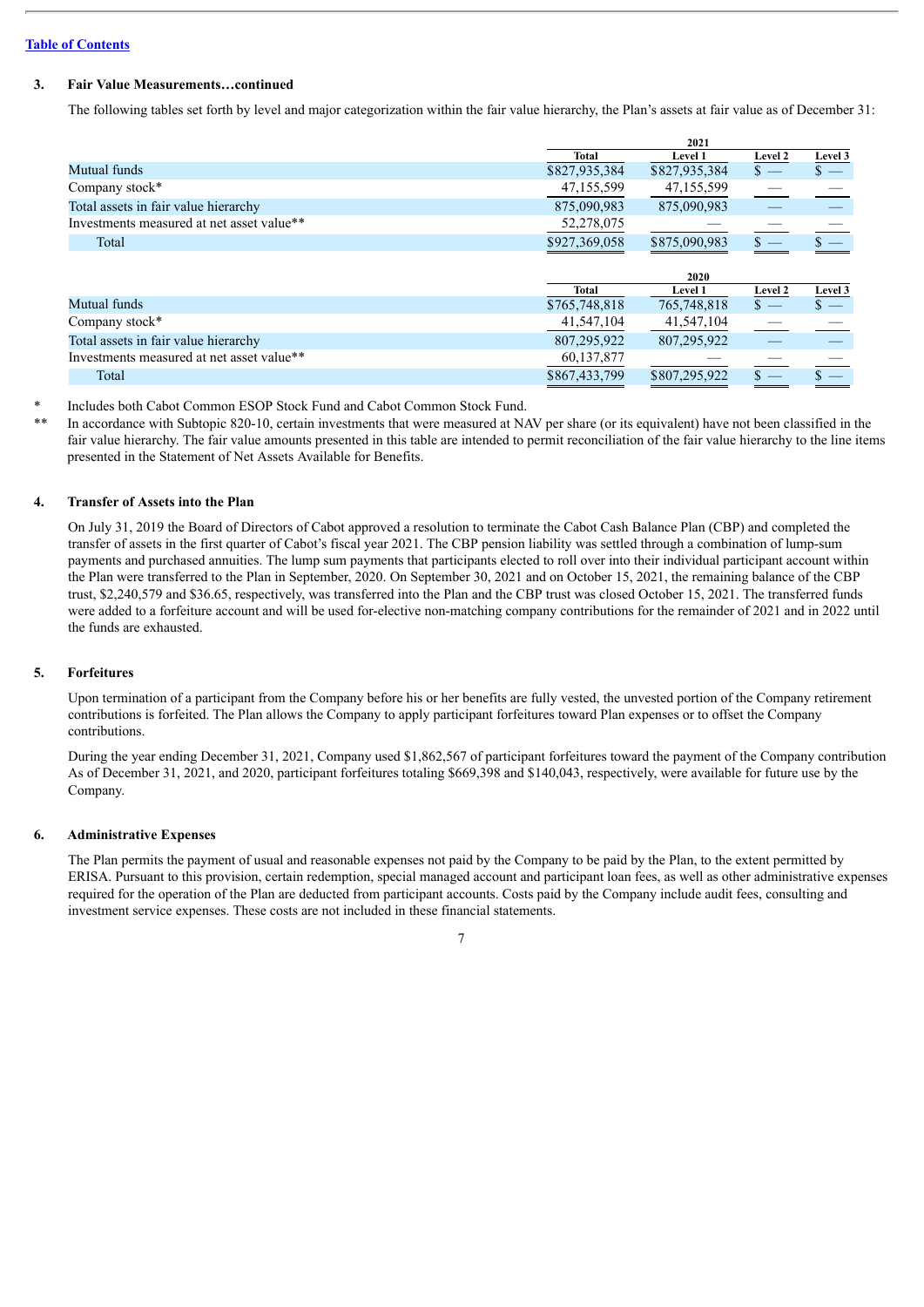#### **3. Fair Value Measurements…continued**

The following tables set forth by level and major categorization within the fair value hierarchy, the Plan's assets at fair value as of December 31:

|                                           | 2021          |               |                |                           |
|-------------------------------------------|---------------|---------------|----------------|---------------------------|
|                                           | Total         | Level 1       | Level 2        | Level 3                   |
| Mutual funds                              | \$827,935,384 | \$827,935,384 | $\frac{1}{2}$  | $\frac{\epsilon}{\sigma}$ |
| Company stock*                            | 47,155,599    | 47,155,599    |                |                           |
| Total assets in fair value hierarchy      | 875,090,983   | 875,090,983   |                |                           |
| Investments measured at net asset value** | 52,278,075    |               |                |                           |
| Total                                     | \$927,369,058 | \$875,090,983 |                |                           |
|                                           |               |               |                |                           |
|                                           |               | 2020          |                |                           |
|                                           | <b>Total</b>  | Level 1       | <b>Level 2</b> | Level 3                   |
| Mutual funds                              | \$765,748,818 | 765,748,818   | $\mathbf{s}$ — |                           |
| Company stock*                            | 41,547,104    | 41,547,104    |                |                           |
| Total assets in fair value hierarchy      | 807,295,922   | 807,295,922   |                |                           |
| Investments measured at net asset value** | 60,137,877    |               |                |                           |
| Total                                     | \$867,433,799 | \$807.295.922 |                |                           |

\* Includes both Cabot Common ESOP Stock Fund and Cabot Common Stock Fund.

In accordance with Subtopic 820-10, certain investments that were measured at NAV per share (or its equivalent) have not been classified in the fair value hierarchy. The fair value amounts presented in this table are intended to permit reconciliation of the fair value hierarchy to the line items presented in the Statement of Net Assets Available for Benefits.

#### **4. Transfer of Assets into the Plan**

On July 31, 2019 the Board of Directors of Cabot approved a resolution to terminate the Cabot Cash Balance Plan (CBP) and completed the transfer of assets in the first quarter of Cabot's fiscal year 2021. The CBP pension liability was settled through a combination of lump-sum payments and purchased annuities. The lump sum payments that participants elected to roll over into their individual participant account within the Plan were transferred to the Plan in September, 2020. On September 30, 2021 and on October 15, 2021, the remaining balance of the CBP trust, \$2,240,579 and \$36.65, respectively, was transferred into the Plan and the CBP trust was closed October 15, 2021. The transferred funds were added to a forfeiture account and will be used for-elective non-matching company contributions for the remainder of 2021 and in 2022 until the funds are exhausted.

#### **5. Forfeitures**

Upon termination of a participant from the Company before his or her benefits are fully vested, the unvested portion of the Company retirement contributions is forfeited. The Plan allows the Company to apply participant forfeitures toward Plan expenses or to offset the Company contributions.

During the year ending December 31, 2021, Company used \$1,862,567 of participant forfeitures toward the payment of the Company contribution As of December 31, 2021, and 2020, participant forfeitures totaling \$669,398 and \$140,043, respectively, were available for future use by the Company.

#### **6. Administrative Expenses**

The Plan permits the payment of usual and reasonable expenses not paid by the Company to be paid by the Plan, to the extent permitted by ERISA. Pursuant to this provision, certain redemption, special managed account and participant loan fees, as well as other administrative expenses required for the operation of the Plan are deducted from participant accounts. Costs paid by the Company include audit fees, consulting and investment service expenses. These costs are not included in these financial statements.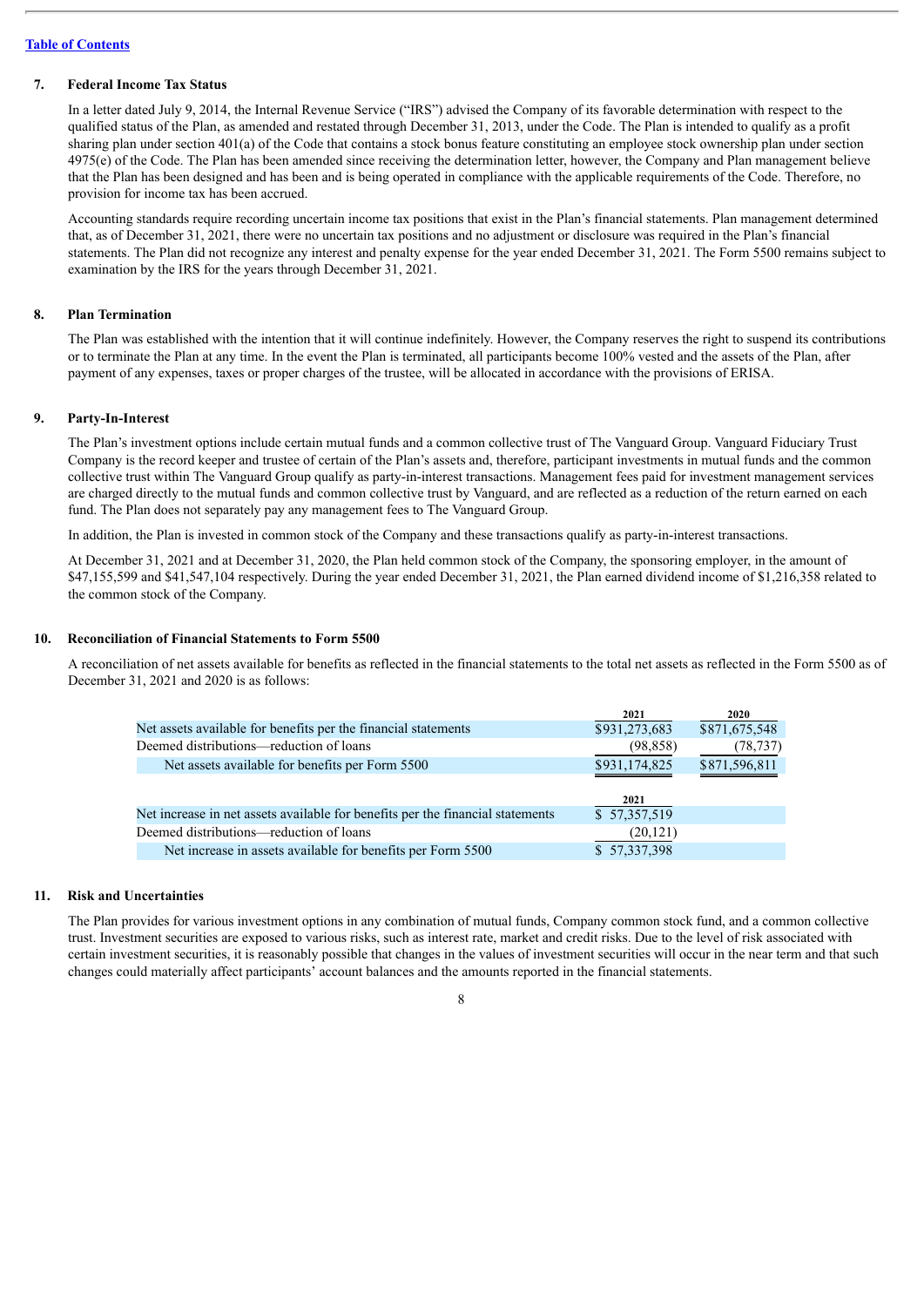#### **7. Federal Income Tax Status**

In a letter dated July 9, 2014, the Internal Revenue Service ("IRS") advised the Company of its favorable determination with respect to the qualified status of the Plan, as amended and restated through December 31, 2013, under the Code. The Plan is intended to qualify as a profit sharing plan under section 401(a) of the Code that contains a stock bonus feature constituting an employee stock ownership plan under section 4975(e) of the Code. The Plan has been amended since receiving the determination letter, however, the Company and Plan management believe that the Plan has been designed and has been and is being operated in compliance with the applicable requirements of the Code. Therefore, no provision for income tax has been accrued.

Accounting standards require recording uncertain income tax positions that exist in the Plan's financial statements. Plan management determined that, as of December 31, 2021, there were no uncertain tax positions and no adjustment or disclosure was required in the Plan's financial statements. The Plan did not recognize any interest and penalty expense for the year ended December 31, 2021. The Form 5500 remains subject to examination by the IRS for the years through December 31, 2021.

#### **8. Plan Termination**

The Plan was established with the intention that it will continue indefinitely. However, the Company reserves the right to suspend its contributions or to terminate the Plan at any time. In the event the Plan is terminated, all participants become 100% vested and the assets of the Plan, after payment of any expenses, taxes or proper charges of the trustee, will be allocated in accordance with the provisions of ERISA.

#### **9. Party-In-Interest**

The Plan's investment options include certain mutual funds and a common collective trust of The Vanguard Group. Vanguard Fiduciary Trust Company is the record keeper and trustee of certain of the Plan's assets and, therefore, participant investments in mutual funds and the common collective trust within The Vanguard Group qualify as party-in-interest transactions. Management fees paid for investment management services are charged directly to the mutual funds and common collective trust by Vanguard, and are reflected as a reduction of the return earned on each fund. The Plan does not separately pay any management fees to The Vanguard Group.

In addition, the Plan is invested in common stock of the Company and these transactions qualify as party-in-interest transactions.

At December 31, 2021 and at December 31, 2020, the Plan held common stock of the Company, the sponsoring employer, in the amount of \$47,155,599 and \$41,547,104 respectively. During the year ended December 31, 2021, the Plan earned dividend income of \$1,216,358 related to the common stock of the Company.

#### **10. Reconciliation of Financial Statements to Form 5500**

A reconciliation of net assets available for benefits as reflected in the financial statements to the total net assets as reflected in the Form 5500 as of December 31, 2021 and 2020 is as follows:

|                                                                                | 2021          | 2020          |
|--------------------------------------------------------------------------------|---------------|---------------|
| Net assets available for benefits per the financial statements                 | \$931,273,683 | \$871,675,548 |
| Deemed distributions—reduction of loans                                        | (98, 858)     | (78, 737)     |
| Net assets available for benefits per Form 5500                                | \$931,174,825 | \$871,596,811 |
|                                                                                |               |               |
|                                                                                | 2021          |               |
| Net increase in net assets available for benefits per the financial statements | \$57,357,519  |               |
| Deemed distributions—reduction of loans                                        | (20, 121)     |               |
|                                                                                |               |               |
|                                                                                |               |               |

#### **11. Risk and Uncertainties**

The Plan provides for various investment options in any combination of mutual funds, Company common stock fund, and a common collective trust. Investment securities are exposed to various risks, such as interest rate, market and credit risks. Due to the level of risk associated with certain investment securities, it is reasonably possible that changes in the values of investment securities will occur in the near term and that such changes could materially affect participants' account balances and the amounts reported in the financial statements.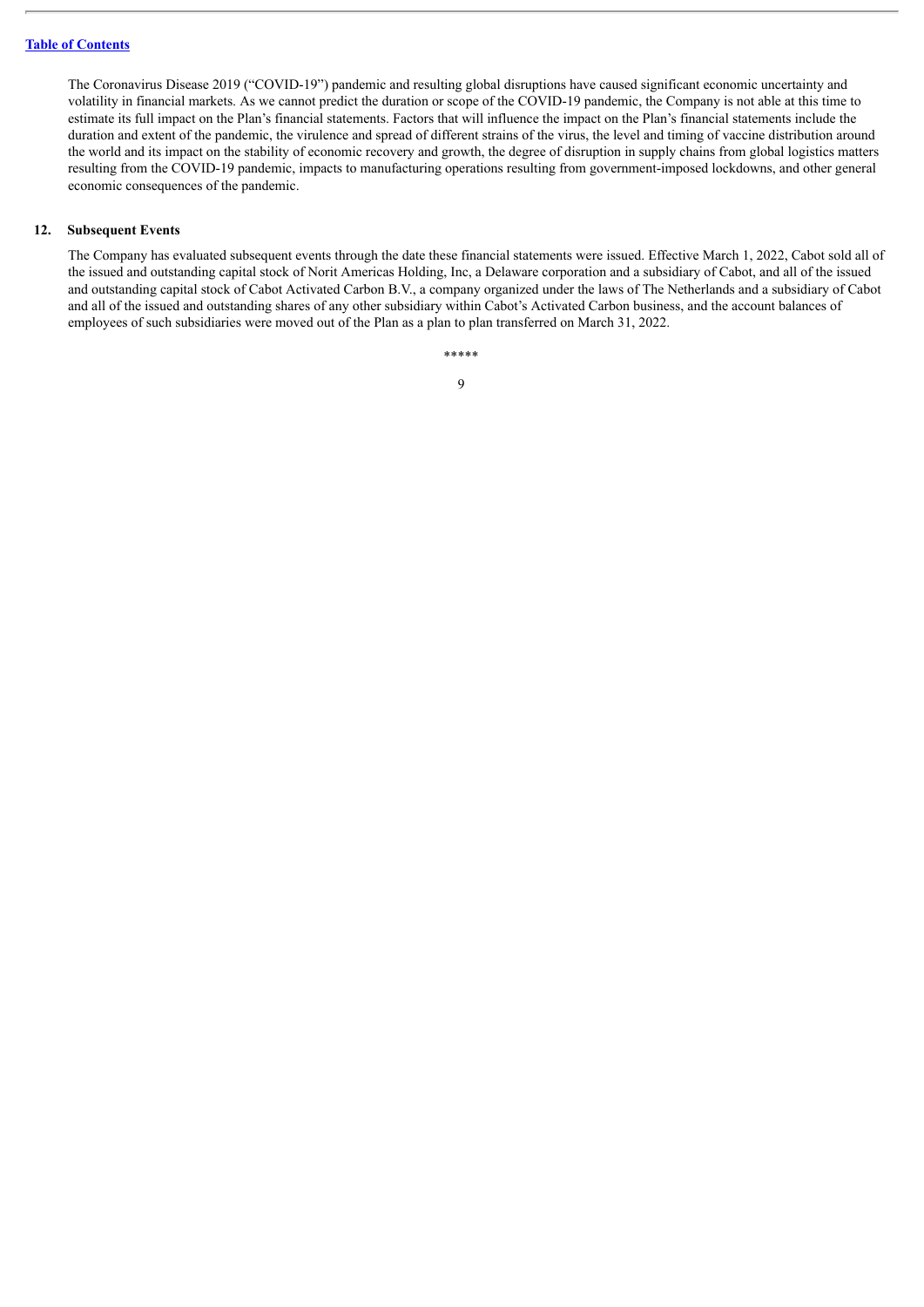The Coronavirus Disease 2019 ("COVID-19") pandemic and resulting global disruptions have caused significant economic uncertainty and volatility in financial markets. As we cannot predict the duration or scope of the COVID-19 pandemic, the Company is not able at this time to estimate its full impact on the Plan's financial statements. Factors that will influence the impact on the Plan's financial statements include the duration and extent of the pandemic, the virulence and spread of different strains of the virus, the level and timing of vaccine distribution around the world and its impact on the stability of economic recovery and growth, the degree of disruption in supply chains from global logistics matters resulting from the COVID-19 pandemic, impacts to manufacturing operations resulting from government-imposed lockdowns, and other general economic consequences of the pandemic.

#### **12. Subsequent Events**

The Company has evaluated subsequent events through the date these financial statements were issued. Effective March 1, 2022, Cabot sold all of the issued and outstanding capital stock of Norit Americas Holding, Inc, a Delaware corporation and a subsidiary of Cabot, and all of the issued and outstanding capital stock of Cabot Activated Carbon B.V., a company organized under the laws of The Netherlands and a subsidiary of Cabot and all of the issued and outstanding shares of any other subsidiary within Cabot's Activated Carbon business, and the account balances of employees of such subsidiaries were moved out of the Plan as a plan to plan transferred on March 31, 2022.

\*\*\*\*\*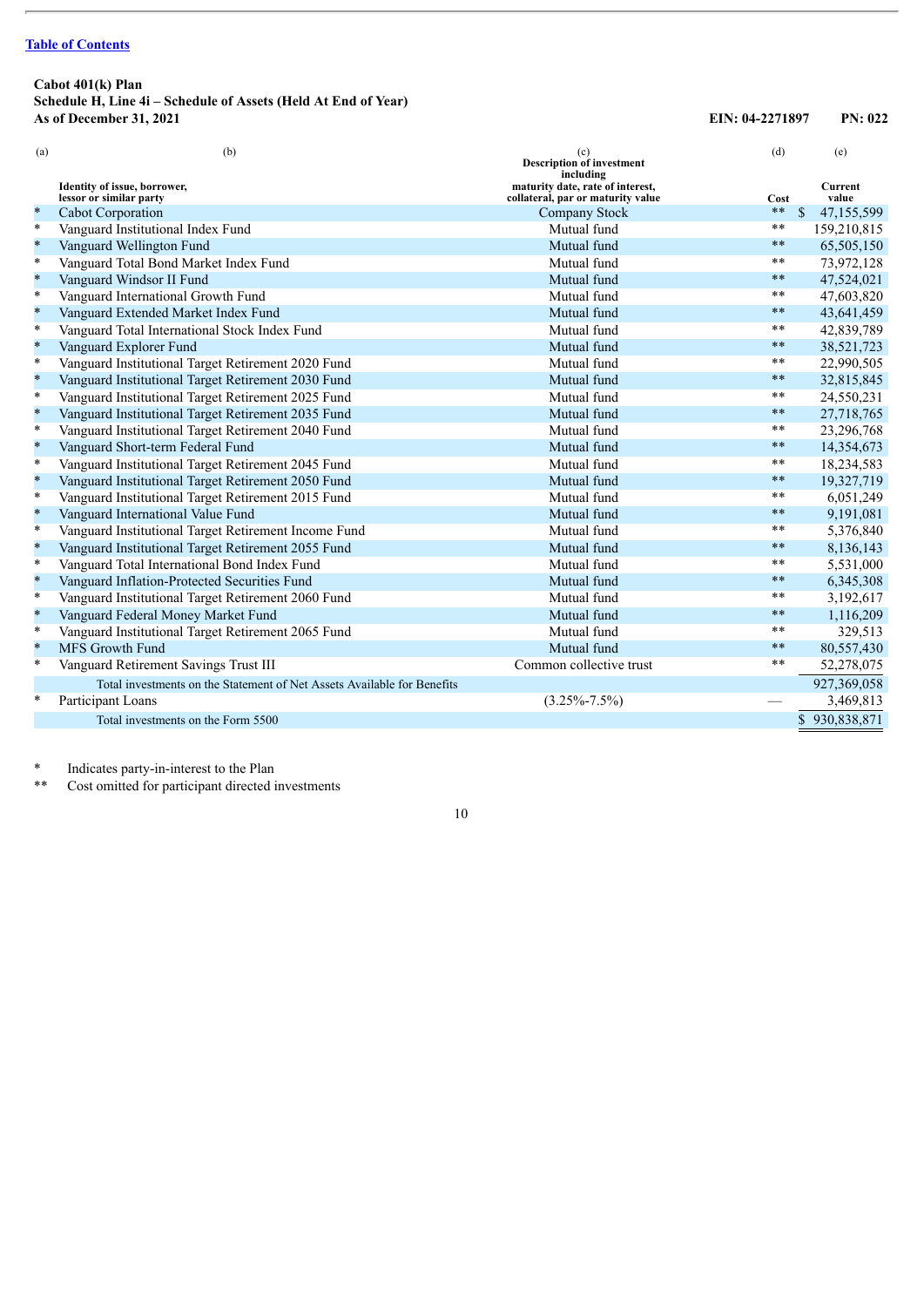**Cabot 401(k) Plan**

## <span id="page-11-0"></span>**Schedule H, Line 4i – Schedule of Assets (Held At End of Year) As of December 31, 2021 EIN: 04-2271897 PN: 022**

| (a)     | (b)                                                                     | (c)<br><b>Description of investment</b><br>including                  | (d)          | (e)                              |
|---------|-------------------------------------------------------------------------|-----------------------------------------------------------------------|--------------|----------------------------------|
|         | Identity of issue, borrower,<br>lessor or similar party                 | maturity date, rate of interest,<br>collateral, par or maturity value | Cost         | Current<br>value                 |
| $\star$ | <b>Cabot Corporation</b>                                                | Company Stock                                                         | $***$        | $\mathbf{\hat{x}}$<br>47,155,599 |
| $\ast$  | Vanguard Institutional Index Fund                                       | Mutual fund                                                           | $\ast\ast$   | 159,210,815                      |
| $\star$ | Vanguard Wellington Fund                                                | Mutual fund                                                           | $***$        | 65,505,150                       |
| $\ast$  | Vanguard Total Bond Market Index Fund                                   | Mutual fund                                                           | $\star\star$ | 73,972,128                       |
| $\star$ | Vanguard Windsor II Fund                                                | Mutual fund                                                           | $**$         | 47,524,021                       |
| $\ast$  | Vanguard International Growth Fund                                      | Mutual fund                                                           | $\ast\ast$   | 47,603,820                       |
| $\star$ | Vanguard Extended Market Index Fund                                     | Mutual fund                                                           | $\star\star$ | 43,641,459                       |
| $\ast$  | Vanguard Total International Stock Index Fund                           | Mutual fund                                                           | $\star\star$ | 42,839,789                       |
| $\star$ | Vanguard Explorer Fund                                                  | Mutual fund                                                           | $\star\star$ | 38,521,723                       |
| $\ast$  | Vanguard Institutional Target Retirement 2020 Fund                      | Mutual fund                                                           | $\ast\ast$   | 22,990,505                       |
| $\ast$  | Vanguard Institutional Target Retirement 2030 Fund                      | Mutual fund                                                           | $* *$        | 32,815,845                       |
| $\ast$  | Vanguard Institutional Target Retirement 2025 Fund                      | Mutual fund                                                           | $* *$        | 24,550,231                       |
| $\star$ | Vanguard Institutional Target Retirement 2035 Fund                      | Mutual fund                                                           | $**$         | 27,718,765                       |
| $\ast$  | Vanguard Institutional Target Retirement 2040 Fund                      | Mutual fund                                                           | $\ast\ast$   | 23,296,768                       |
| $\star$ | Vanguard Short-term Federal Fund                                        | Mutual fund                                                           | $\star\star$ | 14,354,673                       |
| $\ast$  | Vanguard Institutional Target Retirement 2045 Fund                      | Mutual fund                                                           | $\star\star$ | 18,234,583                       |
| $\star$ | Vanguard Institutional Target Retirement 2050 Fund                      | Mutual fund                                                           | $\star\star$ | 19,327,719                       |
| $\ast$  | Vanguard Institutional Target Retirement 2015 Fund                      | Mutual fund                                                           | $\ast\ast$   | 6,051,249                        |
| $\star$ | Vanguard International Value Fund                                       | Mutual fund                                                           | $\star\star$ | 9,191,081                        |
| $\ast$  | Vanguard Institutional Target Retirement Income Fund                    | Mutual fund                                                           | $\ast\ast$   | 5,376,840                        |
| $\star$ | Vanguard Institutional Target Retirement 2055 Fund                      | Mutual fund                                                           | $***$        | 8,136,143                        |
| $\ast$  | Vanguard Total International Bond Index Fund                            | Mutual fund                                                           | $* *$        | 5,531,000                        |
| $\star$ | Vanguard Inflation-Protected Securities Fund                            | Mutual fund                                                           | $\star\star$ | 6,345,308                        |
| $\ast$  | Vanguard Institutional Target Retirement 2060 Fund                      | Mutual fund                                                           | $\star\star$ | 3,192,617                        |
| $\star$ | Vanguard Federal Money Market Fund                                      | Mutual fund                                                           | $\star\star$ | 1,116,209                        |
| $\ast$  | Vanguard Institutional Target Retirement 2065 Fund                      | Mutual fund                                                           | $\ast\ast$   | 329,513                          |
| $\star$ | <b>MFS Growth Fund</b>                                                  | Mutual fund                                                           | $\star\star$ | 80,557,430                       |
| $\ast$  | Vanguard Retirement Savings Trust III                                   | Common collective trust                                               | $\star\star$ | 52,278,075                       |
|         | Total investments on the Statement of Net Assets Available for Benefits |                                                                       |              | 927,369,058                      |
| $\ast$  | Participant Loans                                                       | $(3.25\% - 7.5\%)$                                                    |              | 3,469,813                        |
|         | Total investments on the Form 5500                                      |                                                                       |              | \$930,838,871                    |

\* Indicates party-in-interest to the Plan

\*\* Cost omitted for participant directed investments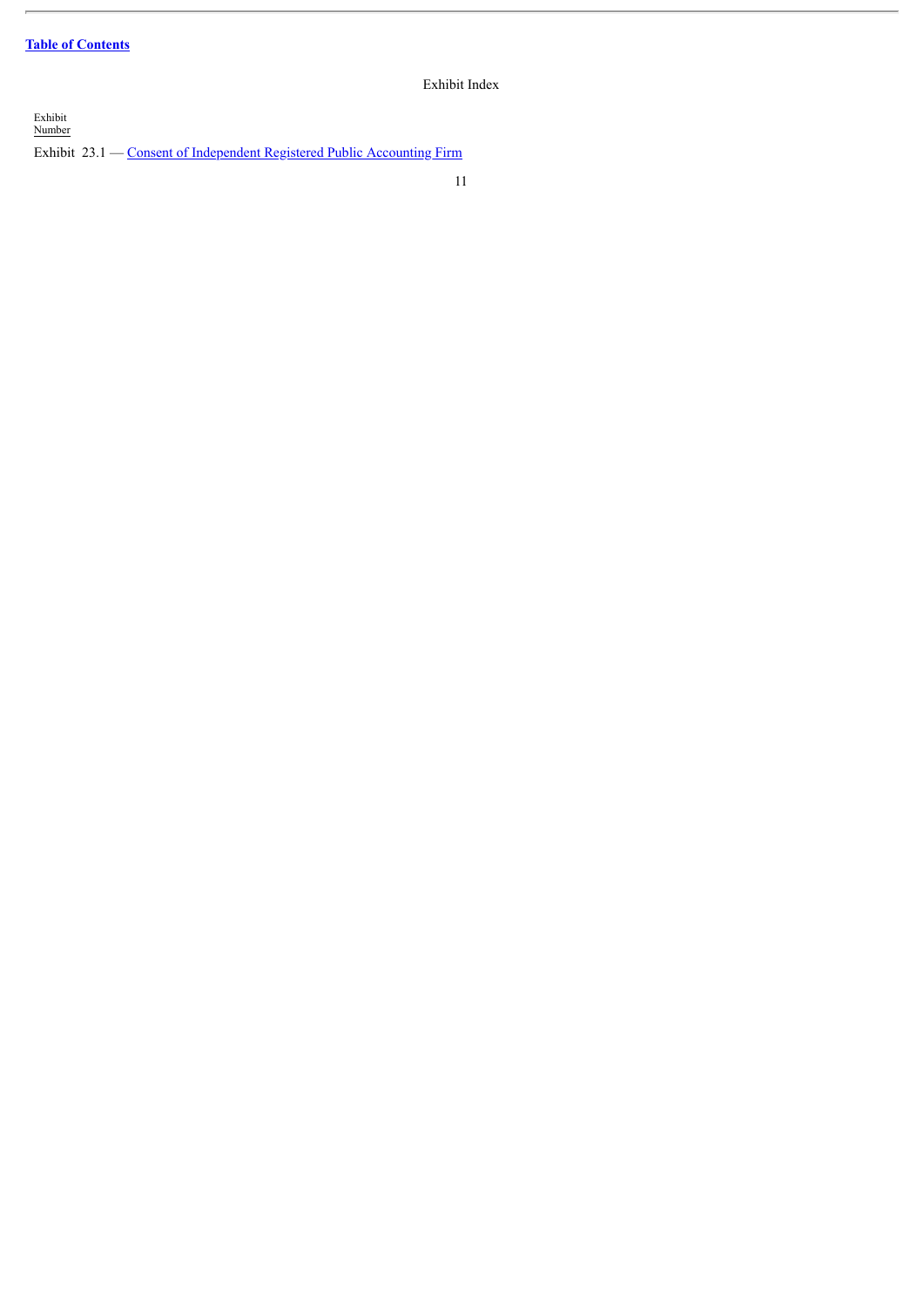Exhibit Index

## <span id="page-12-0"></span>Exhibit Number

<span id="page-12-1"></span>Exhibit 23.1 — Consent of [Independent](#page-14-0) Registered Public Accounting Firm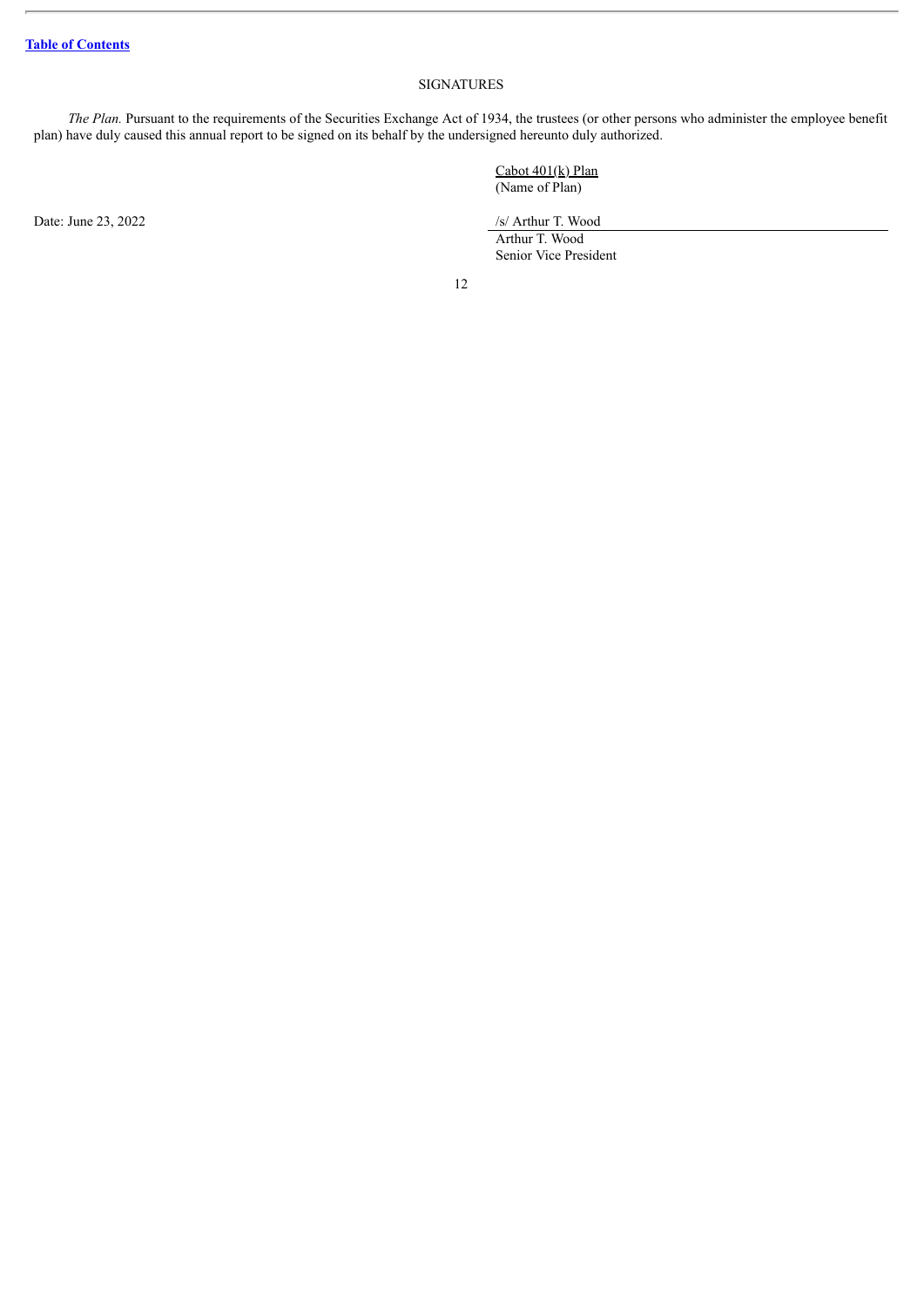## SIGNATURES

<span id="page-13-0"></span>*The Plan.* Pursuant to the requirements of the Securities Exchange Act of 1934, the trustees (or other persons who administer the employee benefit plan) have duly caused this annual report to be signed on its behalf by the undersigned hereunto duly authorized.

> Cabot 401(k) Plan (Name of Plan)

Date: June 23, 2022 /s/ Arthur T. Wood

Arthur T. Wood Senior Vice President